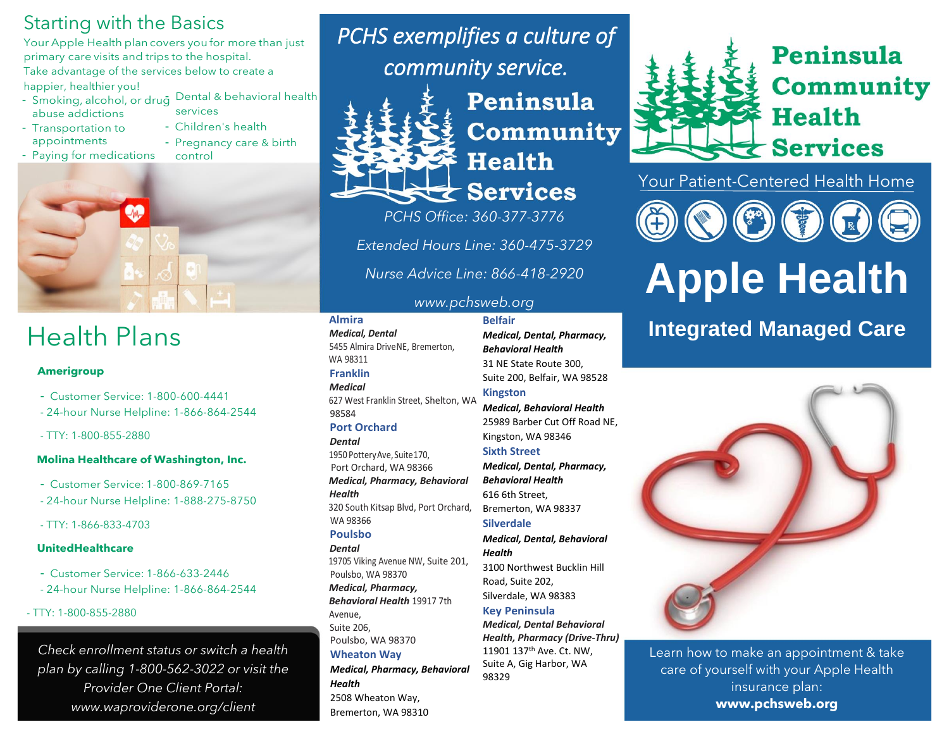# Starting with the Basics

Your Apple Health plan covers you for more than just primary care visits and trips to the hospital. Take advantage of the services below to create a

happier, healthier you!

- Smoking, alcohol, or drug Dental & behavioral health abuse addictions
- Transportation to appointments
- Children's health - Pregnancy care & birth
- Paying for medications control

services



# Health Plans

### **Amerigroup**

- Customer Service: 1-800-600-4441
- 24-hour Nurse Helpline: 1-866-864-2544
- TTY: 1-800-855-2880

### **Molina Healthcare of Washington, Inc.**

- Customer Service: 1-800-869-7165
- 24-hour Nurse Helpline: 1-888-275-8750
- TTY: 1-866-833-4703

### **UnitedHealthcare**

- Customer Service: 1-866-633-2446
- 24-hour Nurse Helpline: 1-866-864-2544

### - TTY: 1-800-855-2880

*Check enrollment status or switch a health plan by calling 1-800-562-3022 or visit the Provider One Client Portal: www.waproviderone.org/client*

*PCHS exemplifies a culture of community service.* 

# $\bigstar$  Services

Peninsula Community **Health** 

*PCHS Office: 360-377-3776*

*Extended Hours Line: 360-475-3729*

*Nurse Advice Line: 866-418-2920*

### *www.pchsweb.org*

*Medical, Dental* 5455 Almira DriveNE, Bremerton, WA 98311 **Franklin** *Medical*

627 West Franklin Street, Shelton, WA 98584

# **Port Orchard**

**Almira**

*Dental* 1950 Pottery Ave, Suite 170, Port Orchard, WA 98366 *Medical, Pharmacy, Behavioral Health* 320 South Kitsap Blvd, Port Orchard, WA 98366 **Poulsbo** *Dental* 19705 Viking Avenue NW, Suite 201, Poulsbo, WA 98370 *Medical, Pharmacy, Behavioral Health* 19917 7th Avenue, Suite 206, Poulsbo, WA 98370 **Wheaton Way**

*Medical, Pharmacy, Behavioral Health* 2508 Wheaton Way, Bremerton, WA 98310

**Belfair** *Medical, Dental, Pharmacy, Behavioral Health* 31 NE State Route 300, Suite 200, Belfair, WA 98528 **Kingston**

*Medical, Behavioral Health*  25989 Barber Cut Off Road NE, Kingston, WA 98346

### **Sixth Street**

*Medical, Dental, Pharmacy, Behavioral Health* 616 6th Street, Bremerton, WA 98337

# **Silverdale**

*Medical, Dental, Behavioral Health*

3100 Northwest Bucklin Hill Road, Suite 202, Silverdale, WA 98383 **Key Peninsula**

*Medical, Dental Behavioral Health, Pharmacy (Drive-Thru)* 11901 137th Ave. Ct. NW, Suite A, Gig Harbor, WA 98329



Peninsula **Community Health**  $\bigstar$  Services

Your Patient-Centered Health Home



# **Apple Health**

# **Integrated Managed Care**



Learn how to make an appointment & take care of yourself with your Apple Health insurance plan: **www.pchsweb.org**